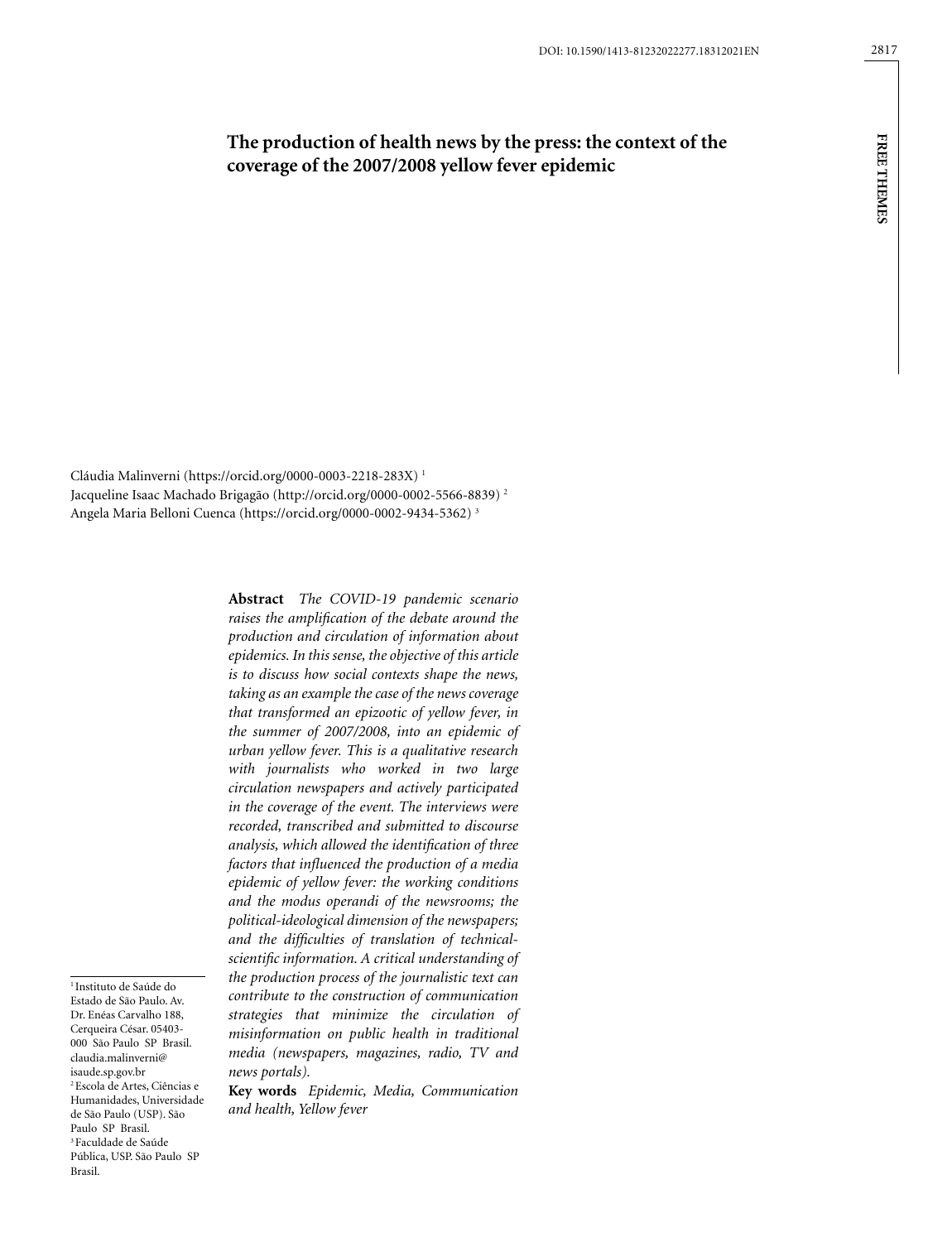# **The production of health news by the press: the context of the coverage of the 2007/2008 yellow fever epidemic**

**FREE THEMES free themes**

Cláudia Malinverni (https://orcid.org/0000-0003-2218-283X) 1 Jacqueline Isaac Machado Brigagão (http://orcid.org/0000-0002-5566-8839) 2 Angela Maria Belloni Cuenca (https://orcid.org/0000-0002-9434-5362) 3

> **Abstract** *The COVID-19 pandemic scenario raises the amplification of the debate around the production and circulation of information about epidemics. In this sense, the objective of this article is to discuss how social contexts shape the news, taking as an example the case of the news coverage that transformed an epizootic of yellow fever, in the summer of 2007/2008, into an epidemic of urban yellow fever. This is a qualitative research with journalists who worked in two large circulation newspapers and actively participated in the coverage of the event. The interviews were recorded, transcribed and submitted to discourse analysis, which allowed the identification of three factors that influenced the production of a media epidemic of yellow fever: the working conditions and the modus operandi of the newsrooms; the political-ideological dimension of the newspapers; and the difficulties of translation of technicalscientific information. A critical understanding of the production process of the journalistic text can contribute to the construction of communication strategies that minimize the circulation of misinformation on public health in traditional media (newspapers, magazines, radio, TV and news portals).*

**Key words** *Epidemic, Media, Communication and health, Yellow fever*

<sup>1</sup> Instituto de Saúde do Estado de São Paulo. Av. Dr. Enéas Carvalho 188, Cerqueira César. 05403- 000 São Paulo SP Brasil. claudia.malinverni@ isaude.sp.gov.br 2 Escola de Artes, Ciências e Humanidades, Universidade de São Paulo (USP). São Paulo SP Brasil. 3 Faculdade de Saúde Pública, USP. São Paulo SP Brasil.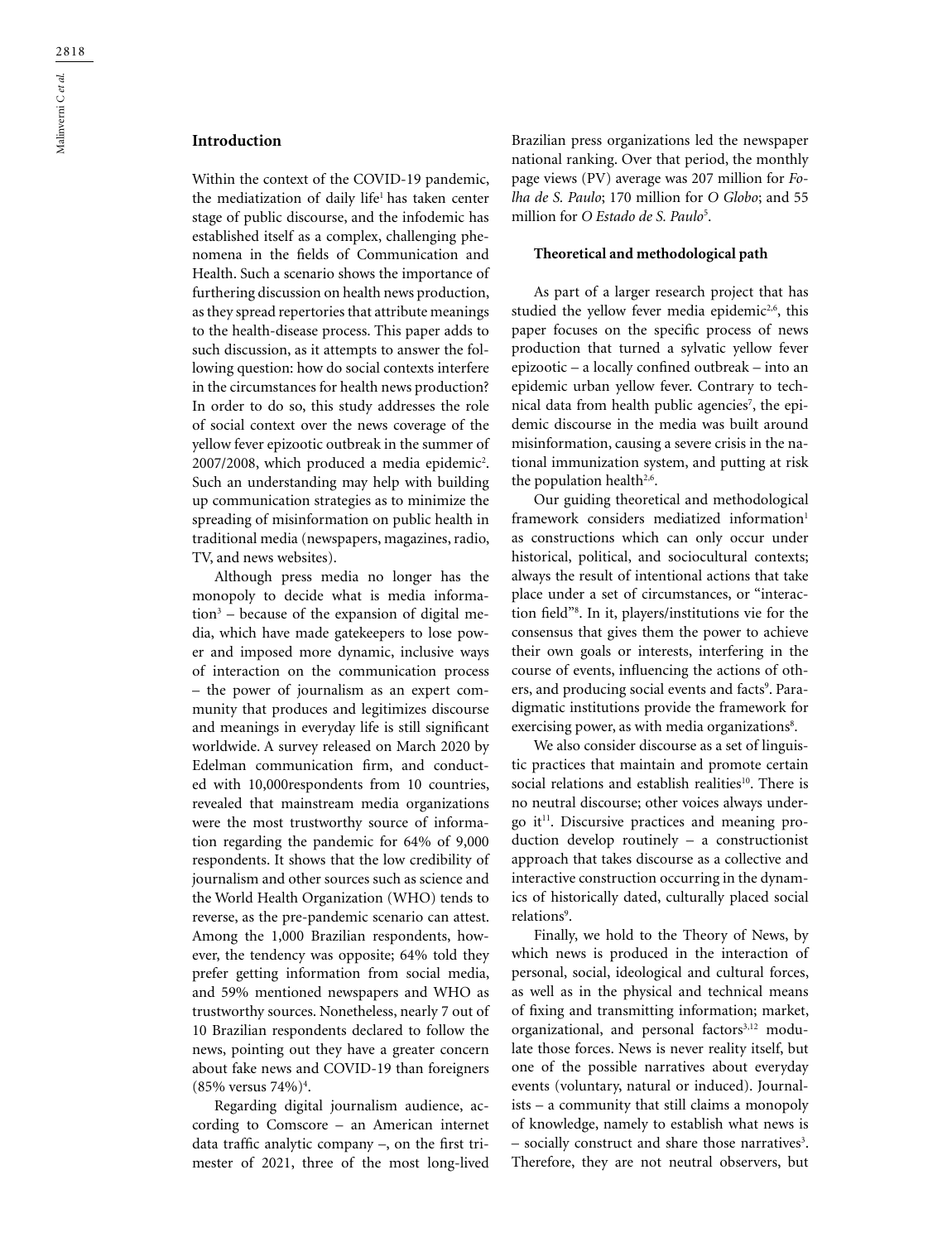# **Introduction**

Within the context of the COVID-19 pandemic, the mediatization of daily life<sup>1</sup> has taken center stage of public discourse, and the infodemic has established itself as a complex, challenging phenomena in the fields of Communication and Health. Such a scenario shows the importance of furthering discussion on health news production, as they spread repertories that attribute meanings to the health-disease process. This paper adds to such discussion, as it attempts to answer the following question: how do social contexts interfere in the circumstances for health news production? In order to do so, this study addresses the role of social context over the news coverage of the yellow fever epizootic outbreak in the summer of  $2007/2008$ , which produced a media epidemic<sup>2</sup>. Such an understanding may help with building up communication strategies as to minimize the spreading of misinformation on public health in traditional media (newspapers, magazines, radio, TV, and news websites).

Although press media no longer has the monopoly to decide what is media information3 – because of the expansion of digital media, which have made gatekeepers to lose power and imposed more dynamic, inclusive ways of interaction on the communication process – the power of journalism as an expert community that produces and legitimizes discourse and meanings in everyday life is still significant worldwide. A survey released on March 2020 by Edelman communication firm, and conducted with 10,000respondents from 10 countries, revealed that mainstream media organizations were the most trustworthy source of information regarding the pandemic for 64% of 9,000 respondents. It shows that the low credibility of journalism and other sources such as science and the World Health Organization (WHO) tends to reverse, as the pre-pandemic scenario can attest. Among the 1,000 Brazilian respondents, however, the tendency was opposite; 64% told they prefer getting information from social media, and 59% mentioned newspapers and WHO as trustworthy sources. Nonetheless, nearly 7 out of 10 Brazilian respondents declared to follow the news, pointing out they have a greater concern about fake news and COVID-19 than foreigners (85% versus 74%)4 .

Regarding digital journalism audience, according to Comscore – an American internet data traffic analytic company –, on the first trimester of 2021, three of the most long-lived Brazilian press organizations led the newspaper national ranking. Over that period, the monthly page views (PV) average was 207 million for *Folha de S. Paulo*; 170 million for *O Globo*; and 55 million for *O Estado de S. Paulo*<sup>5</sup> .

#### **Theoretical and methodological path**

As part of a larger research project that has studied the yellow fever media epidemic<sup>2,6</sup>, this paper focuses on the specific process of news production that turned a sylvatic yellow fever epizootic – a locally confined outbreak – into an epidemic urban yellow fever. Contrary to technical data from health public agencies<sup>7</sup>, the epidemic discourse in the media was built around misinformation, causing a severe crisis in the national immunization system, and putting at risk the population health<sup>2,6</sup>.

Our guiding theoretical and methodological framework considers mediatized information<sup>1</sup> as constructions which can only occur under historical, political, and sociocultural contexts; always the result of intentional actions that take place under a set of circumstances, or "interaction field"8 . In it, players/institutions vie for the consensus that gives them the power to achieve their own goals or interests, interfering in the course of events, influencing the actions of others, and producing social events and facts<sup>9</sup>. Paradigmatic institutions provide the framework for exercising power, as with media organizations<sup>8</sup>.

We also consider discourse as a set of linguistic practices that maintain and promote certain social relations and establish realities<sup>10</sup>. There is no neutral discourse; other voices always undergo it $11$ . Discursive practices and meaning production develop routinely – a constructionist approach that takes discourse as a collective and interactive construction occurring in the dynamics of historically dated, culturally placed social relations<sup>9</sup>.

Finally, we hold to the Theory of News, by which news is produced in the interaction of personal, social, ideological and cultural forces, as well as in the physical and technical means of fixing and transmitting information; market, organizational, and personal factors<sup>3,12</sup> modulate those forces. News is never reality itself, but one of the possible narratives about everyday events (voluntary, natural or induced). Journalists – a community that still claims a monopoly of knowledge, namely to establish what news is - socially construct and share those narratives<sup>3</sup>. Therefore, they are not neutral observers, but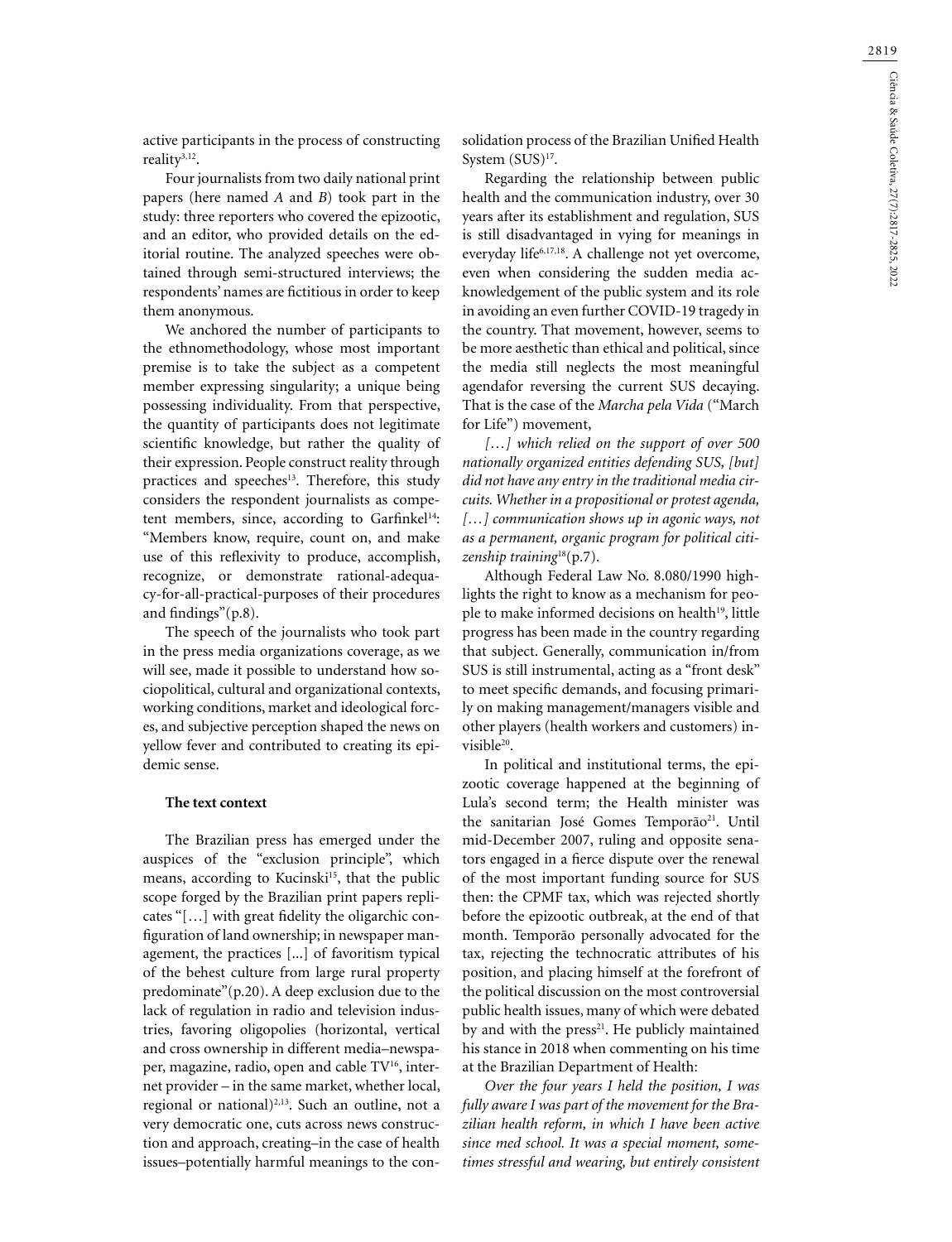active participants in the process of constructing reality3,12.

Four journalists from two daily national print papers (here named *A* and *B*) took part in the study: three reporters who covered the epizootic, and an editor, who provided details on the editorial routine. The analyzed speeches were obtained through semi-structured interviews; the respondents' names are fictitious in order to keep them anonymous.

We anchored the number of participants to the ethnomethodology, whose most important premise is to take the subject as a competent member expressing singularity; a unique being possessing individuality. From that perspective, the quantity of participants does not legitimate scientific knowledge, but rather the quality of their expression. People construct reality through practices and speeches<sup>13</sup>. Therefore, this study considers the respondent journalists as competent members, since, according to Garfinkel<sup>14</sup>: "Members know, require, count on, and make use of this reflexivity to produce, accomplish, recognize, or demonstrate rational-adequacy-for-all-practical-purposes of their procedures and findings"(p.8).

The speech of the journalists who took part in the press media organizations coverage, as we will see, made it possible to understand how sociopolitical, cultural and organizational contexts, working conditions, market and ideological forces, and subjective perception shaped the news on yellow fever and contributed to creating its epidemic sense.

#### **The text context**

The Brazilian press has emerged under the auspices of the "exclusion principle", which means, according to Kucinski<sup>15</sup>, that the public scope forged by the Brazilian print papers replicates "[…] with great fidelity the oligarchic configuration of land ownership; in newspaper management, the practices [...] of favoritism typical of the behest culture from large rural property predominate"(p.20). A deep exclusion due to the lack of regulation in radio and television industries, favoring oligopolies (horizontal, vertical and cross ownership in different media–newspaper, magazine, radio, open and cable TV<sup>16</sup>, internet provider – in the same market, whether local, regional or national) $^{2,13}$ . Such an outline, not a very democratic one, cuts across news construction and approach, creating–in the case of health issues–potentially harmful meanings to the consolidation process of the Brazilian Unified Health System (SUS)<sup>17</sup>.

Regarding the relationship between public health and the communication industry, over 30 years after its establishment and regulation, SUS is still disadvantaged in vying for meanings in everyday life<sup>6,17,18</sup>. A challenge not yet overcome, even when considering the sudden media acknowledgement of the public system and its role in avoiding an even further COVID-19 tragedy in the country. That movement, however, seems to be more aesthetic than ethical and political, since the media still neglects the most meaningful agendafor reversing the current SUS decaying. That is the case of the *Marcha pela Vida* ("March for Life") movement,

*[…] which relied on the support of over 500 nationally organized entities defending SUS, [but] did not have any entry in the traditional media circuits. Whether in a propositional or protest agenda, […] communication shows up in agonic ways, not as a permanent, organic program for political citizenship training*18(p.7).

Although Federal Law No. 8.080/1990 highlights the right to know as a mechanism for people to make informed decisions on health<sup>19</sup>, little progress has been made in the country regarding that subject. Generally, communication in/from SUS is still instrumental, acting as a "front desk" to meet specific demands, and focusing primarily on making management/managers visible and other players (health workers and customers) invisible<sup>20</sup>.

In political and institutional terms, the epizootic coverage happened at the beginning of Lula's second term; the Health minister was the sanitarian José Gomes Temporão<sup>21</sup>. Until mid-December 2007, ruling and opposite senators engaged in a fierce dispute over the renewal of the most important funding source for SUS then: the CPMF tax, which was rejected shortly before the epizootic outbreak, at the end of that month. Temporão personally advocated for the tax, rejecting the technocratic attributes of his position, and placing himself at the forefront of the political discussion on the most controversial public health issues, many of which were debated by and with the  $press<sup>21</sup>$ . He publicly maintained his stance in 2018 when commenting on his time at the Brazilian Department of Health:

*Over the four years I held the position, I was fully aware I was part of the movement for the Brazilian health reform, in which I have been active since med school. It was a special moment, sometimes stressful and wearing, but entirely consistent*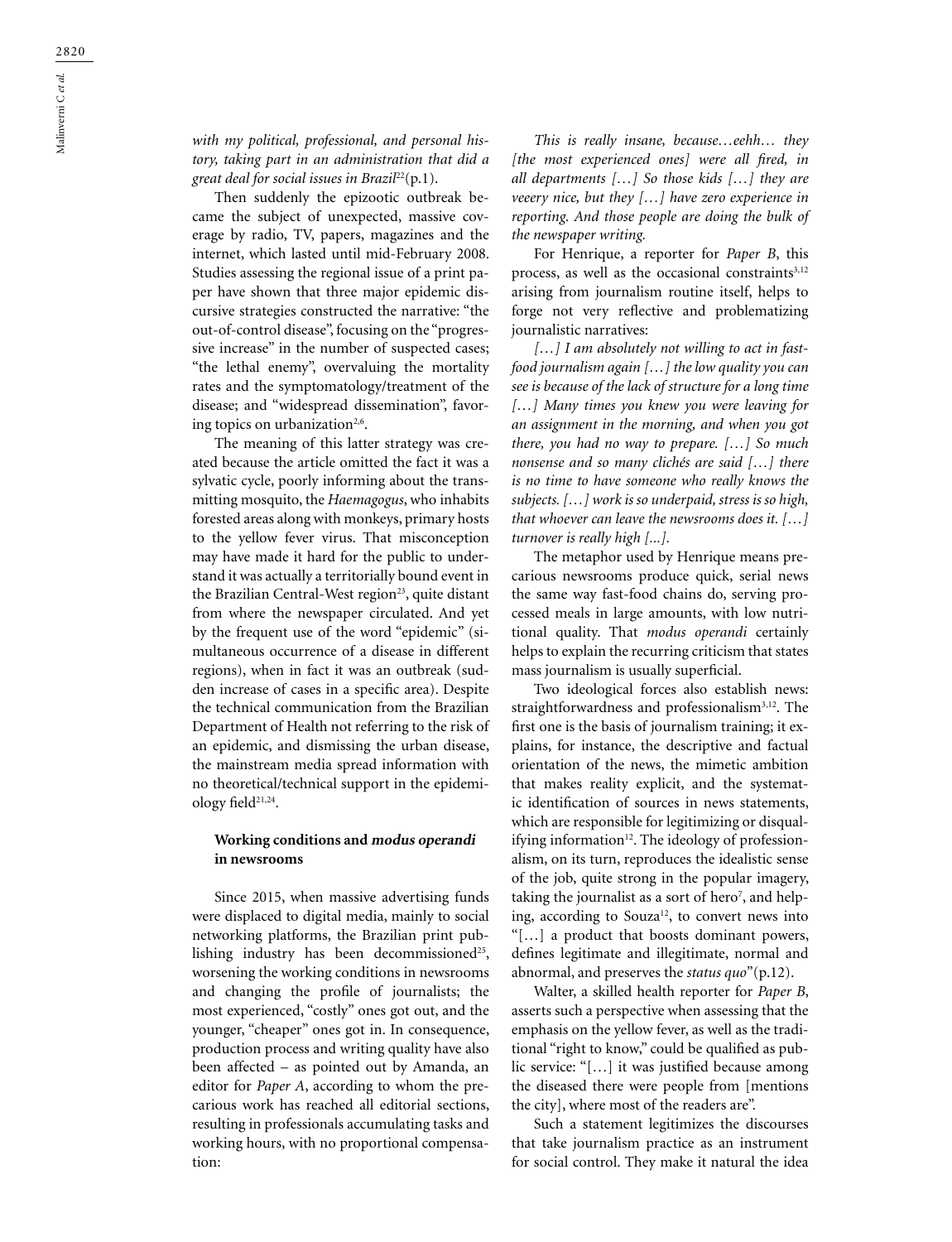*with my political, professional, and personal history, taking part in an administration that did a great deal for social issues in Brazil*22(p.1).

Then suddenly the epizootic outbreak became the subject of unexpected, massive coverage by radio, TV, papers, magazines and the internet, which lasted until mid-February 2008. Studies assessing the regional issue of a print paper have shown that three major epidemic discursive strategies constructed the narrative: "the out-of-control disease", focusing on the "progressive increase" in the number of suspected cases; "the lethal enemy", overvaluing the mortality rates and the symptomatology/treatment of the disease; and "widespread dissemination", favoring topics on urbanization<sup>2,6</sup>.

The meaning of this latter strategy was created because the article omitted the fact it was a sylvatic cycle, poorly informing about the transmitting mosquito, the *Haemagogus*, who inhabits forested areas along with monkeys, primary hosts to the yellow fever virus. That misconception may have made it hard for the public to understand it was actually a territorially bound event in the Brazilian Central-West region<sup>23</sup>, quite distant from where the newspaper circulated. And yet by the frequent use of the word "epidemic" (simultaneous occurrence of a disease in different regions), when in fact it was an outbreak (sudden increase of cases in a specific area). Despite the technical communication from the Brazilian Department of Health not referring to the risk of an epidemic, and dismissing the urban disease, the mainstream media spread information with no theoretical/technical support in the epidemiology field<sup>21,24</sup>.

# **Working conditions and modus operandi in newsrooms**

Since 2015, when massive advertising funds were displaced to digital media, mainly to social networking platforms, the Brazilian print publishing industry has been decommissioned<sup>25</sup>, worsening the working conditions in newsrooms and changing the profile of journalists; the most experienced, "costly" ones got out, and the younger, "cheaper" ones got in. In consequence, production process and writing quality have also been affected – as pointed out by Amanda, an editor for *Paper A*, according to whom the precarious work has reached all editorial sections, resulting in professionals accumulating tasks and working hours, with no proportional compensation:

*This is really insane, because…eehh… they [the most experienced ones] were all fired, in all departments […] So those kids […] they are veeery nice, but they […] have zero experience in reporting. And those people are doing the bulk of the newspaper writing.*

For Henrique, a reporter for *Paper B*, this process, as well as the occasional constraints<sup>3,12</sup> arising from journalism routine itself, helps to forge not very reflective and problematizing journalistic narratives:

*[…] I am absolutely not willing to act in fastfood journalism again […] the low quality you can see is because of the lack of structure for a long time […] Many times you knew you were leaving for an assignment in the morning, and when you got there, you had no way to prepare. […] So much nonsense and so many clichés are said […] there is no time to have someone who really knows the subjects. […] work is so underpaid, stress is so high, that whoever can leave the newsrooms does it. […] turnover is really high [...].*

The metaphor used by Henrique means precarious newsrooms produce quick, serial news the same way fast-food chains do, serving processed meals in large amounts, with low nutritional quality. That *modus operandi* certainly helps to explain the recurring criticism that states mass journalism is usually superficial.

Two ideological forces also establish news: straightforwardness and professionalism<sup>3,12</sup>. The first one is the basis of journalism training; it explains, for instance, the descriptive and factual orientation of the news, the mimetic ambition that makes reality explicit, and the systematic identification of sources in news statements, which are responsible for legitimizing or disqualifying information $12$ . The ideology of professionalism, on its turn, reproduces the idealistic sense of the job, quite strong in the popular imagery, taking the journalist as a sort of hero<sup>7</sup>, and helping, according to Souza<sup>12</sup>, to convert news into "[…] a product that boosts dominant powers, defines legitimate and illegitimate, normal and abnormal, and preserves the *status quo*"(p.12).

Walter, a skilled health reporter for *Paper B*, asserts such a perspective when assessing that the emphasis on the yellow fever, as well as the traditional "right to know," could be qualified as public service: "[…] it was justified because among the diseased there were people from [mentions the city], where most of the readers are".

Such a statement legitimizes the discourses that take journalism practice as an instrument for social control. They make it natural the idea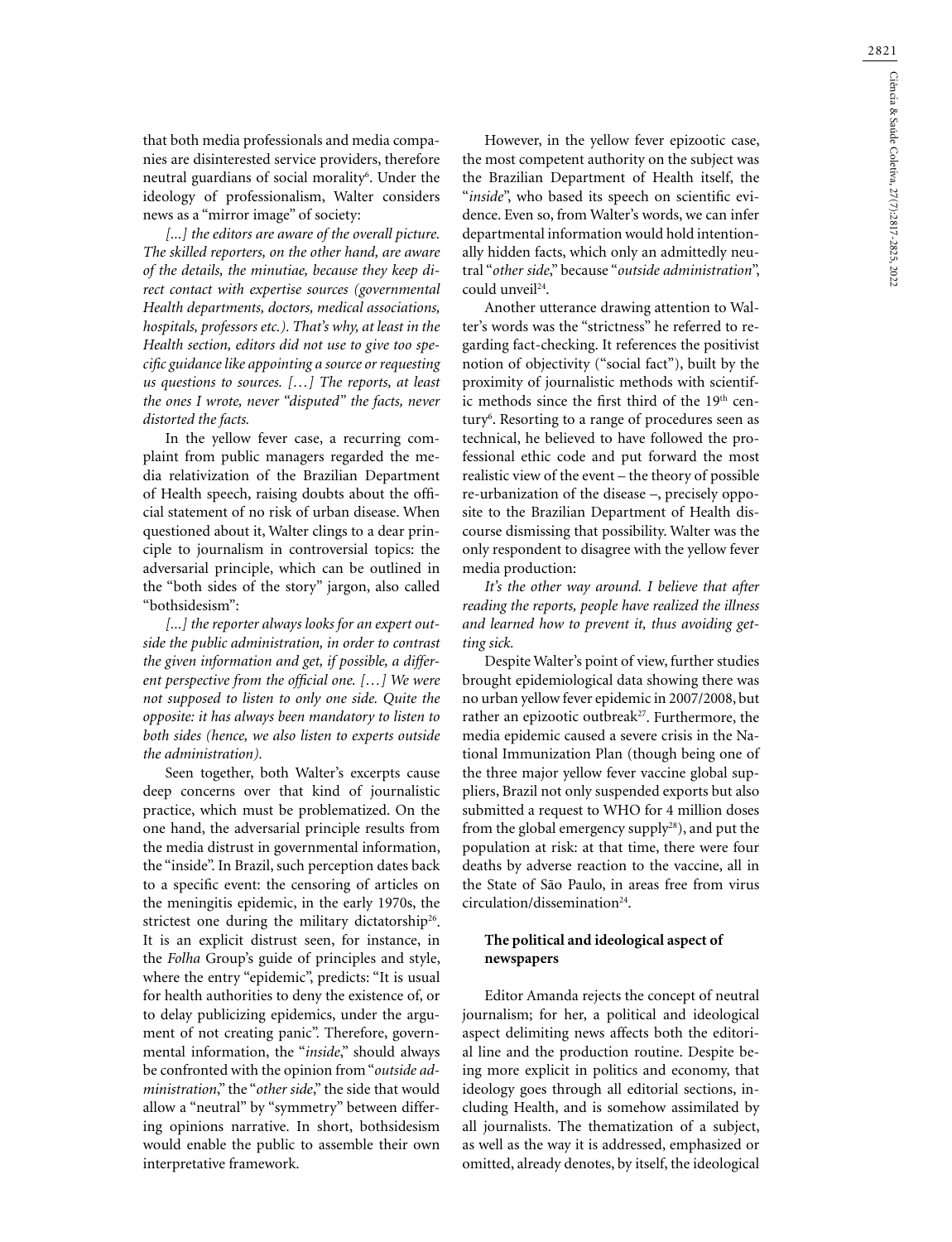that both media professionals and media companies are disinterested service providers, therefore neutral guardians of social morality6 . Under the ideology of professionalism, Walter considers news as a "mirror image" of society:

*[...] the editors are aware of the overall picture. The skilled reporters, on the other hand, are aware of the details, the minutiae, because they keep direct contact with expertise sources (governmental Health departments, doctors, medical associations, hospitals, professors etc.). That's why, at least in the Health section, editors did not use to give too specific guidance like appointing a source or requesting us questions to sources. […] The reports, at least the ones I wrote, never "disputed" the facts, never distorted the facts.*

In the yellow fever case, a recurring complaint from public managers regarded the media relativization of the Brazilian Department of Health speech, raising doubts about the official statement of no risk of urban disease. When questioned about it, Walter clings to a dear principle to journalism in controversial topics: the adversarial principle, which can be outlined in the "both sides of the story" jargon, also called "bothsidesism":

*[...] the reporter always looks for an expert outside the public administration, in order to contrast the given information and get, if possible, a different perspective from the official one. […] We were not supposed to listen to only one side. Quite the opposite: it has always been mandatory to listen to both sides (hence, we also listen to experts outside the administration).*

Seen together, both Walter's excerpts cause deep concerns over that kind of journalistic practice, which must be problematized. On the one hand, the adversarial principle results from the media distrust in governmental information, the "inside". In Brazil, such perception dates back to a specific event: the censoring of articles on the meningitis epidemic, in the early 1970s, the strictest one during the military dictatorship<sup>26</sup>. It is an explicit distrust seen, for instance, in the *Folha* Group's guide of principles and style, where the entry "epidemic", predicts: "It is usual for health authorities to deny the existence of, or to delay publicizing epidemics, under the argument of not creating panic". Therefore, governmental information, the "*inside*," should always be confronted with the opinion from "*outside administration*," the "*other side*," the side that would allow a "neutral" by "symmetry" between differing opinions narrative. In short, bothsidesism would enable the public to assemble their own interpretative framework.

However, in the yellow fever epizootic case, the most competent authority on the subject was the Brazilian Department of Health itself, the "*inside*", who based its speech on scientific evidence. Even so, from Walter's words, we can infer departmental information would hold intentionally hidden facts, which only an admittedly neutral "*other side*," because "*outside administration*", could unveil<sup>24</sup>.

Another utterance drawing attention to Walter's words was the "strictness" he referred to regarding fact-checking. It references the positivist notion of objectivity ("social fact"), built by the proximity of journalistic methods with scientific methods since the first third of the 19<sup>th</sup> century<sup>6</sup>. Resorting to a range of procedures seen as technical, he believed to have followed the professional ethic code and put forward the most realistic view of the event – the theory of possible re-urbanization of the disease –, precisely opposite to the Brazilian Department of Health discourse dismissing that possibility. Walter was the only respondent to disagree with the yellow fever media production:

*It's the other way around. I believe that after reading the reports, people have realized the illness and learned how to prevent it, thus avoiding getting sick.*

Despite Walter's point of view, further studies brought epidemiological data showing there was no urban yellow fever epidemic in 2007/2008, but rather an epizootic outbreak<sup>27</sup>. Furthermore, the media epidemic caused a severe crisis in the National Immunization Plan (though being one of the three major yellow fever vaccine global suppliers, Brazil not only suspended exports but also submitted a request to WHO for 4 million doses from the global emergency supply<sup>28</sup>), and put the population at risk: at that time, there were four deaths by adverse reaction to the vaccine, all in the State of São Paulo, in areas free from virus  $circulation/dissementination<sup>24</sup>.$ 

# **The political and ideological aspect of newspapers**

Editor Amanda rejects the concept of neutral journalism; for her, a political and ideological aspect delimiting news affects both the editorial line and the production routine. Despite being more explicit in politics and economy, that ideology goes through all editorial sections, including Health, and is somehow assimilated by all journalists. The thematization of a subject, as well as the way it is addressed, emphasized or omitted, already denotes, by itself, the ideological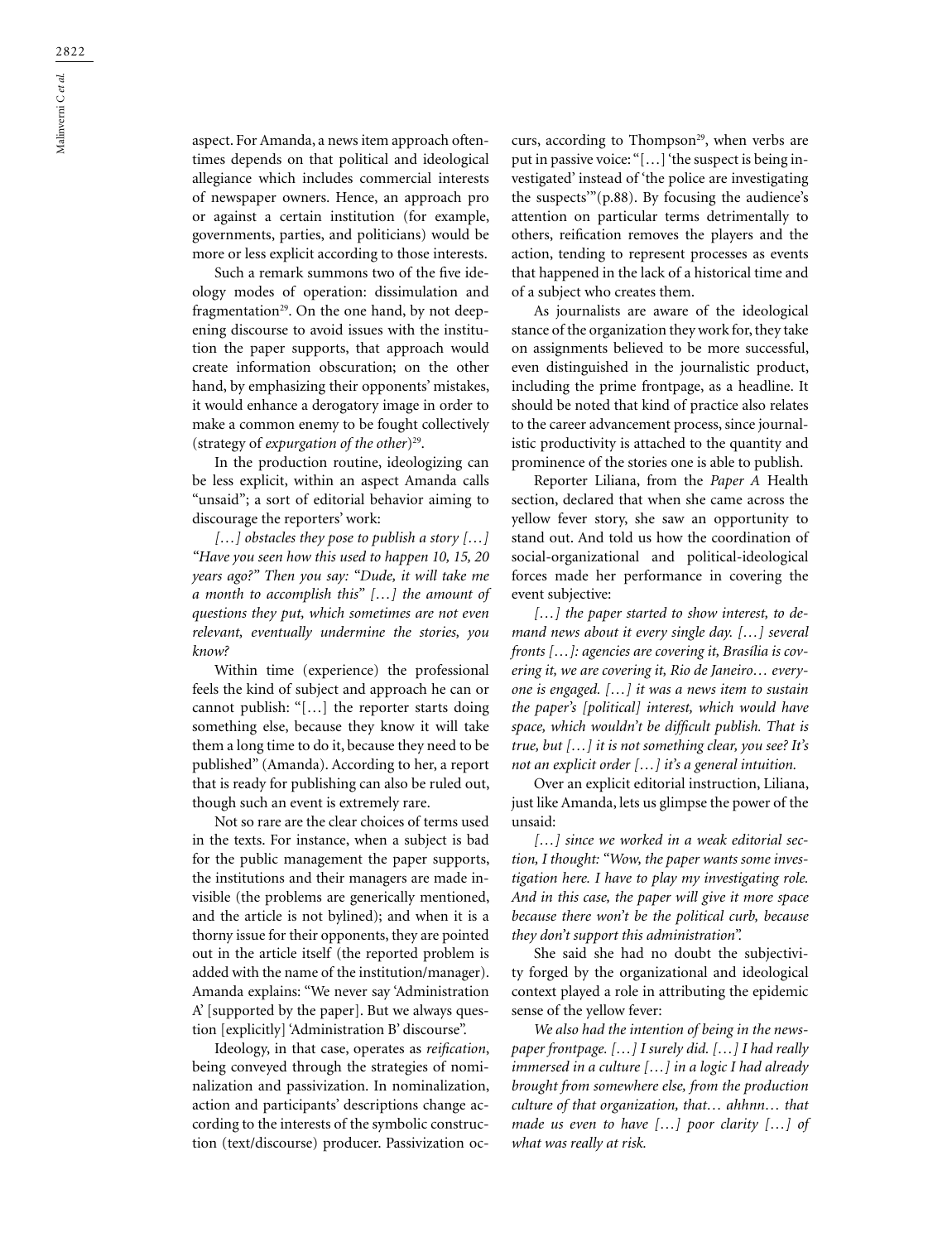aspect. For Amanda, a news item approach oftentimes depends on that political and ideological allegiance which includes commercial interests of newspaper owners. Hence, an approach pro or against a certain institution (for example, governments, parties, and politicians) would be more or less explicit according to those interests.

Such a remark summons two of the five ideology modes of operation: dissimulation and fragmentation<sup>29</sup>. On the one hand, by not deepening discourse to avoid issues with the institution the paper supports, that approach would create information obscuration; on the other hand, by emphasizing their opponents' mistakes, it would enhance a derogatory image in order to make a common enemy to be fought collectively (strategy of *expurgation of the other*)29.

In the production routine, ideologizing can be less explicit, within an aspect Amanda calls "unsaid"; a sort of editorial behavior aiming to discourage the reporters' work:

*[…] obstacles they pose to publish a story […] "Have you seen how this used to happen 10, 15, 20 years ago?" Then you say: "Dude, it will take me a month to accomplish this" […] the amount of questions they put, which sometimes are not even relevant, eventually undermine the stories, you know?*

Within time (experience) the professional feels the kind of subject and approach he can or cannot publish: "[…] the reporter starts doing something else, because they know it will take them a long time to do it, because they need to be published" (Amanda). According to her, a report that is ready for publishing can also be ruled out, though such an event is extremely rare.

Not so rare are the clear choices of terms used in the texts. For instance, when a subject is bad for the public management the paper supports, the institutions and their managers are made invisible (the problems are generically mentioned, and the article is not bylined); and when it is a thorny issue for their opponents, they are pointed out in the article itself (the reported problem is added with the name of the institution/manager). Amanda explains: "We never say 'Administration A' [supported by the paper]. But we always question [explicitly] 'Administration B' discourse".

Ideology, in that case, operates as *reification*, being conveyed through the strategies of nominalization and passivization. In nominalization, action and participants' descriptions change according to the interests of the symbolic construction (text/discourse) producer. Passivization occurs, according to Thompson<sup>29</sup>, when verbs are put in passive voice: "[…] 'the suspect is being investigated' instead of 'the police are investigating the suspects'"(p.88). By focusing the audience's attention on particular terms detrimentally to others, reification removes the players and the action, tending to represent processes as events that happened in the lack of a historical time and of a subject who creates them.

As journalists are aware of the ideological stance of the organization they work for, they take on assignments believed to be more successful, even distinguished in the journalistic product, including the prime frontpage, as a headline. It should be noted that kind of practice also relates to the career advancement process, since journalistic productivity is attached to the quantity and prominence of the stories one is able to publish.

Reporter Liliana, from the *Paper A* Health section, declared that when she came across the yellow fever story, she saw an opportunity to stand out. And told us how the coordination of social-organizational and political-ideological forces made her performance in covering the event subjective:

*[…] the paper started to show interest, to demand news about it every single day. […] several fronts […]: agencies are covering it, Brasília is covering it, we are covering it, Rio de Janeiro… everyone is engaged. […] it was a news item to sustain the paper's [political] interest, which would have space, which wouldn't be difficult publish. That is true, but […] it is not something clear, you see? It's not an explicit order […] it's a general intuition.*

Over an explicit editorial instruction, Liliana, just like Amanda, lets us glimpse the power of the unsaid:

*[…] since we worked in a weak editorial section, I thought: "Wow, the paper wants some investigation here. I have to play my investigating role. And in this case, the paper will give it more space because there won't be the political curb, because they don't support this administration".*

She said she had no doubt the subjectivity forged by the organizational and ideological context played a role in attributing the epidemic sense of the yellow fever:

*We also had the intention of being in the newspaper frontpage. […] I surely did. […] I had really immersed in a culture […] in a logic I had already brought from somewhere else, from the production culture of that organization, that… ahhnn… that made us even to have […] poor clarity […] of what was really at risk.*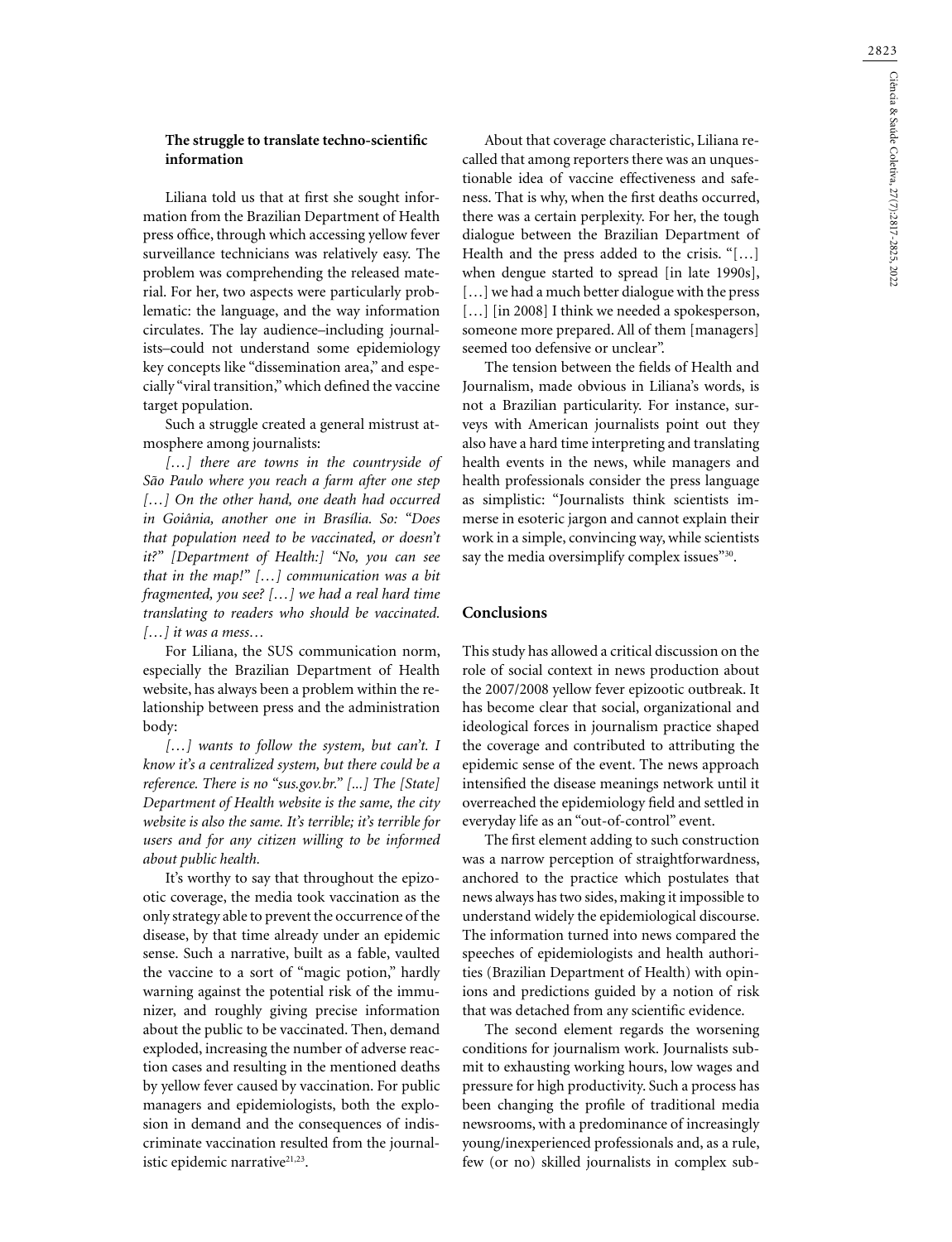# **The struggle to translate techno-scientific information**

Liliana told us that at first she sought information from the Brazilian Department of Health press office, through which accessing yellow fever surveillance technicians was relatively easy. The problem was comprehending the released material. For her, two aspects were particularly problematic: the language, and the way information circulates. The lay audience–including journalists–could not understand some epidemiology key concepts like "dissemination area," and especially "viral transition," which defined the vaccine target population.

Such a struggle created a general mistrust atmosphere among journalists:

*[…] there are towns in the countryside of São Paulo where you reach a farm after one step […] On the other hand, one death had occurred in Goiânia, another one in Brasília. So: "Does that population need to be vaccinated, or doesn't it?" [Department of Health:] "No, you can see that in the map!" […] communication was a bit fragmented, you see? […] we had a real hard time translating to readers who should be vaccinated. […] it was a mess…*

For Liliana, the SUS communication norm, especially the Brazilian Department of Health website, has always been a problem within the relationship between press and the administration body:

*[…] wants to follow the system, but can't. I know it's a centralized system, but there could be a reference. There is no "sus.gov.br." [...] The [State] Department of Health website is the same, the city website is also the same. It's terrible; it's terrible for users and for any citizen willing to be informed about public health.*

It's worthy to say that throughout the epizootic coverage, the media took vaccination as the only strategy able to prevent the occurrence of the disease, by that time already under an epidemic sense. Such a narrative, built as a fable, vaulted the vaccine to a sort of "magic potion," hardly warning against the potential risk of the immunizer, and roughly giving precise information about the public to be vaccinated. Then, demand exploded, increasing the number of adverse reaction cases and resulting in the mentioned deaths by yellow fever caused by vaccination. For public managers and epidemiologists, both the explosion in demand and the consequences of indiscriminate vaccination resulted from the journalistic epidemic narrative<sup>21,23</sup>.

About that coverage characteristic, Liliana recalled that among reporters there was an unquestionable idea of vaccine effectiveness and safeness. That is why, when the first deaths occurred, there was a certain perplexity. For her, the tough dialogue between the Brazilian Department of Health and the press added to the crisis. "[…] when dengue started to spread [in late 1990s], [...] we had a much better dialogue with the press [...] [in 2008] I think we needed a spokesperson, someone more prepared. All of them [managers] seemed too defensive or unclear".

The tension between the fields of Health and Journalism, made obvious in Liliana's words, is not a Brazilian particularity. For instance, surveys with American journalists point out they also have a hard time interpreting and translating health events in the news, while managers and health professionals consider the press language as simplistic: "Journalists think scientists immerse in esoteric jargon and cannot explain their work in a simple, convincing way, while scientists say the media oversimplify complex issues"30.

### **Conclusions**

This study has allowed a critical discussion on the role of social context in news production about the 2007/2008 yellow fever epizootic outbreak. It has become clear that social, organizational and ideological forces in journalism practice shaped the coverage and contributed to attributing the epidemic sense of the event. The news approach intensified the disease meanings network until it overreached the epidemiology field and settled in everyday life as an "out-of-control" event.

The first element adding to such construction was a narrow perception of straightforwardness, anchored to the practice which postulates that news always has two sides, making it impossible to understand widely the epidemiological discourse. The information turned into news compared the speeches of epidemiologists and health authorities (Brazilian Department of Health) with opinions and predictions guided by a notion of risk that was detached from any scientific evidence.

The second element regards the worsening conditions for journalism work. Journalists submit to exhausting working hours, low wages and pressure for high productivity. Such a process has been changing the profile of traditional media newsrooms, with a predominance of increasingly young/inexperienced professionals and, as a rule, few (or no) skilled journalists in complex sub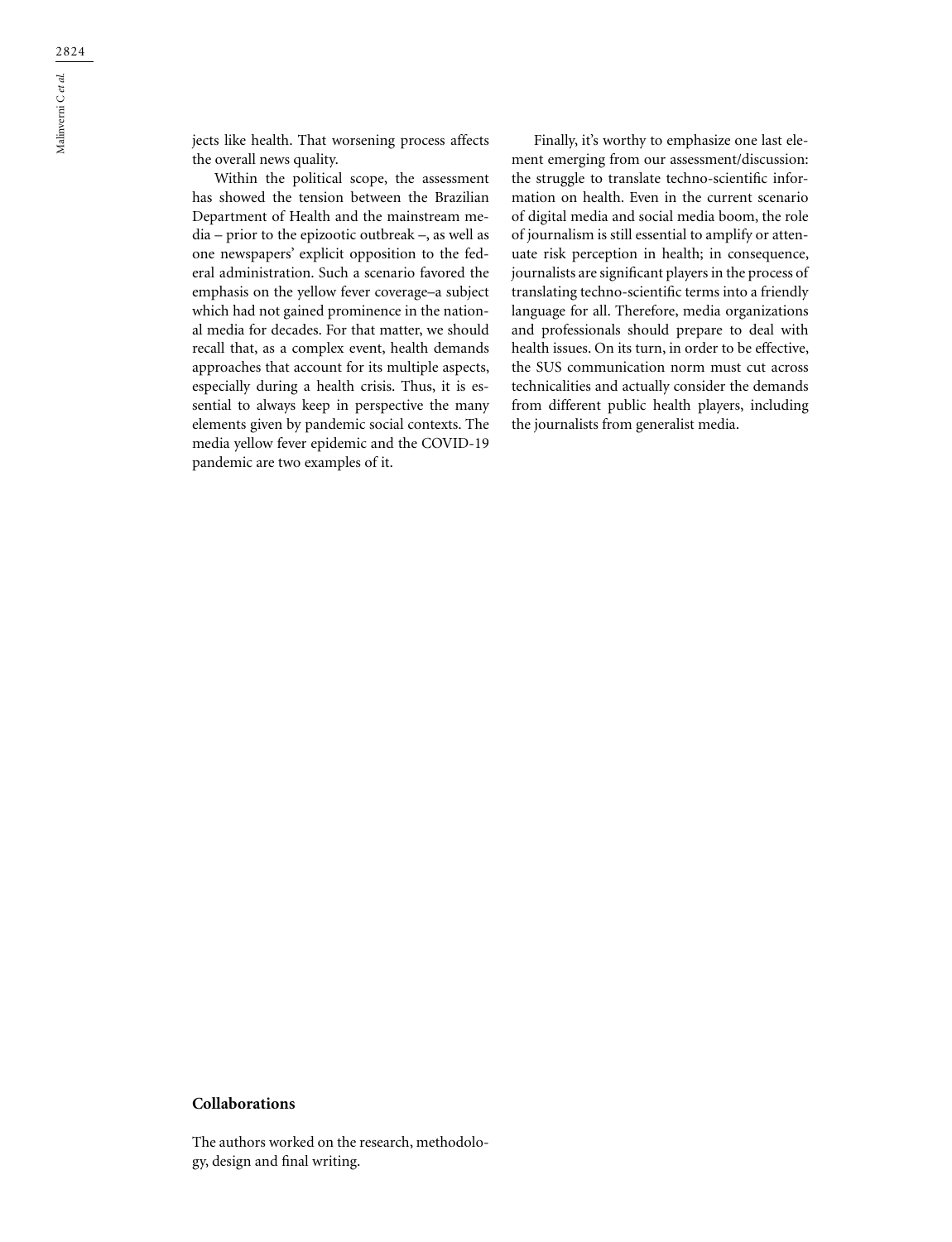jects like health. That worsening process affects the overall news quality.

Within the political scope, the assessment has showed the tension between the Brazilian Department of Health and the mainstream media – prior to the epizootic outbreak –, as well as one newspapers' explicit opposition to the federal administration. Such a scenario favored the emphasis on the yellow fever coverage–a subject which had not gained prominence in the national media for decades. For that matter, we should recall that, as a complex event, health demands approaches that account for its multiple aspects, especially during a health crisis. Thus, it is essential to always keep in perspective the many elements given by pandemic social contexts. The media yellow fever epidemic and the COVID-19 pandemic are two examples of it.

Finally, it's worthy to emphasize one last element emerging from our assessment/discussion: the struggle to translate techno-scientific information on health. Even in the current scenario of digital media and social media boom, the role of journalism is still essential to amplify or attenuate risk perception in health; in consequence, journalists are significant players in the process of translating techno-scientific terms into a friendly language for all. Therefore, media organizations and professionals should prepare to deal with health issues. On its turn, in order to be effective, the SUS communication norm must cut across technicalities and actually consider the demands from different public health players, including the journalists from generalist media.

### **Collaborations**

The authors worked on the research, methodology, design and final writing.